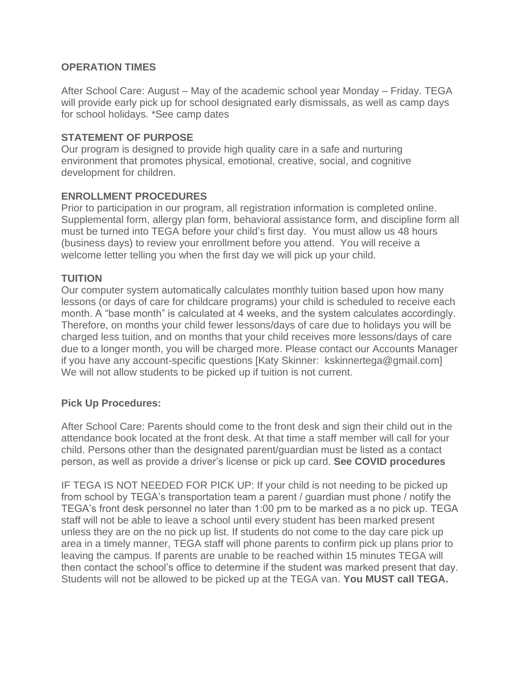# **OPERATION TIMES**

After School Care: August – May of the academic school year Monday – Friday. TEGA will provide early pick up for school designated early dismissals, as well as camp days for school holidays. \*See camp dates

### **STATEMENT OF PURPOSE**

Our program is designed to provide high quality care in a safe and nurturing environment that promotes physical, emotional, creative, social, and cognitive development for children.

# **ENROLLMENT PROCEDURES**

Prior to participation in our program, all registration information is completed online. Supplemental form, allergy plan form, behavioral assistance form, and discipline form all must be turned into TEGA before your child's first day. You must allow us 48 hours (business days) to review your enrollment before you attend. You will receive a welcome letter telling you when the first day we will pick up your child.

# **TUITION**

Our computer system automatically calculates monthly tuition based upon how many lessons (or days of care for childcare programs) your child is scheduled to receive each month. A "base month" is calculated at 4 weeks, and the system calculates accordingly. Therefore, on months your child fewer lessons/days of care due to holidays you will be charged less tuition, and on months that your child receives more lessons/days of care due to a longer month, you will be charged more. Please contact our Accounts Manager if you have any account-specific questions [Katy Skinner: kskinnertega@gmail.com] We will not allow students to be picked up if tuition is not current.

# **Pick Up Procedures:**

After School Care: Parents should come to the front desk and sign their child out in the attendance book located at the front desk. At that time a staff member will call for your child. Persons other than the designated parent/guardian must be listed as a contact person, as well as provide a driver's license or pick up card. **See COVID procedures**

IF TEGA IS NOT NEEDED FOR PICK UP: If your child is not needing to be picked up from school by TEGA's transportation team a parent / guardian must phone / notify the TEGA's front desk personnel no later than 1:00 pm to be marked as a no pick up. TEGA staff will not be able to leave a school until every student has been marked present unless they are on the no pick up list. If students do not come to the day care pick up area in a timely manner, TEGA staff will phone parents to confirm pick up plans prior to leaving the campus. If parents are unable to be reached within 15 minutes TEGA will then contact the school's office to determine if the student was marked present that day. Students will not be allowed to be picked up at the TEGA van. **You MUST call TEGA.**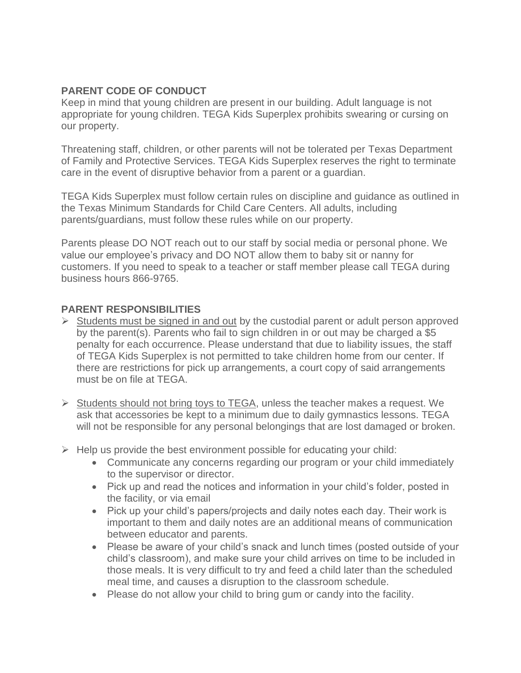# **PARENT CODE OF CONDUCT**

Keep in mind that young children are present in our building. Adult language is not appropriate for young children. TEGA Kids Superplex prohibits swearing or cursing on our property.

Threatening staff, children, or other parents will not be tolerated per Texas Department of Family and Protective Services. TEGA Kids Superplex reserves the right to terminate care in the event of disruptive behavior from a parent or a guardian.

TEGA Kids Superplex must follow certain rules on discipline and guidance as outlined in the Texas Minimum Standards for Child Care Centers. All adults, including parents/guardians, must follow these rules while on our property.

Parents please DO NOT reach out to our staff by social media or personal phone. We value our employee's privacy and DO NOT allow them to baby sit or nanny for customers. If you need to speak to a teacher or staff member please call TEGA during business hours 866-9765.

### **PARENT RESPONSIBILITIES**

- $\triangleright$  Students must be signed in and out by the custodial parent or adult person approved by the parent(s). Parents who fail to sign children in or out may be charged a \$5 penalty for each occurrence. Please understand that due to liability issues, the staff of TEGA Kids Superplex is not permitted to take children home from our center. If there are restrictions for pick up arrangements, a court copy of said arrangements must be on file at TEGA.
- ➢ Students should not bring toys to TEGA, unless the teacher makes a request. We ask that accessories be kept to a minimum due to daily gymnastics lessons. TEGA will not be responsible for any personal belongings that are lost damaged or broken.
- $\triangleright$  Help us provide the best environment possible for educating your child:
	- Communicate any concerns regarding our program or your child immediately to the supervisor or director.
	- Pick up and read the notices and information in your child's folder, posted in the facility, or via email
	- Pick up your child's papers/projects and daily notes each day. Their work is important to them and daily notes are an additional means of communication between educator and parents.
	- Please be aware of your child's snack and lunch times (posted outside of your child's classroom), and make sure your child arrives on time to be included in those meals. It is very difficult to try and feed a child later than the scheduled meal time, and causes a disruption to the classroom schedule.
	- Please do not allow your child to bring gum or candy into the facility.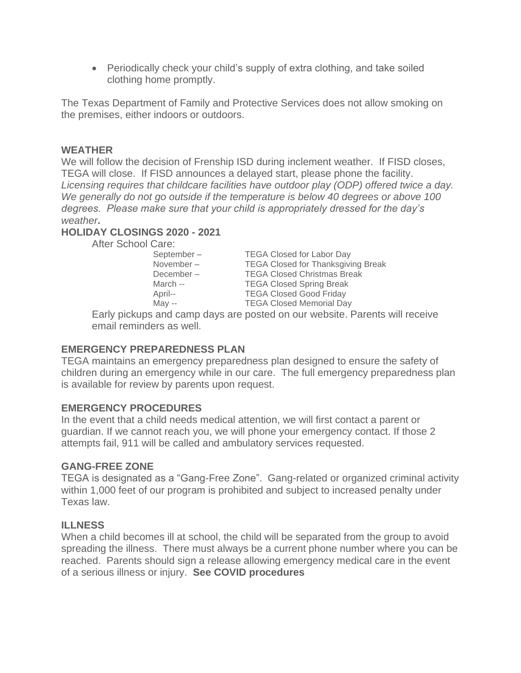• Periodically check your child's supply of extra clothing, and take soiled clothing home promptly.

The Texas Department of Family and Protective Services does not allow smoking on the premises, either indoors or outdoors.

### **WEATHER**

We will follow the decision of Frenship ISD during inclement weather. If FISD closes, TEGA will close. If FISD announces a delayed start, please phone the facility. *Licensing requires that childcare facilities have outdoor play (ODP) offered twice a day. We generally do not go outside if the temperature is below 40 degrees or above 100 degrees. Please make sure that your child is appropriately dressed for the day's weather***.**

### **HOLIDAY CLOSINGS 2020 - 2021**

After School Care:

September – TEGA Closed for Labor Day November – TEGA Closed for Thanksgiving Break December – TEGA Closed Christmas Break March -- TEGA Closed Spring Break April-- TEGA Closed Good Friday May -- TEGA Closed Memorial Day

Early pickups and camp days are posted on our website. Parents will receive email reminders as well.

### **EMERGENCY PREPAREDNESS PLAN**

TEGA maintains an emergency preparedness plan designed to ensure the safety of children during an emergency while in our care. The full emergency preparedness plan is available for review by parents upon request.

### **EMERGENCY PROCEDURES**

In the event that a child needs medical attention, we will first contact a parent or guardian. If we cannot reach you, we will phone your emergency contact. If those 2 attempts fail, 911 will be called and ambulatory services requested.

### **GANG-FREE ZONE**

TEGA is designated as a "Gang-Free Zone". Gang-related or organized criminal activity within 1,000 feet of our program is prohibited and subject to increased penalty under Texas law.

### **ILLNESS**

When a child becomes ill at school, the child will be separated from the group to avoid spreading the illness. There must always be a current phone number where you can be reached. Parents should sign a release allowing emergency medical care in the event of a serious illness or injury. **See COVID procedures**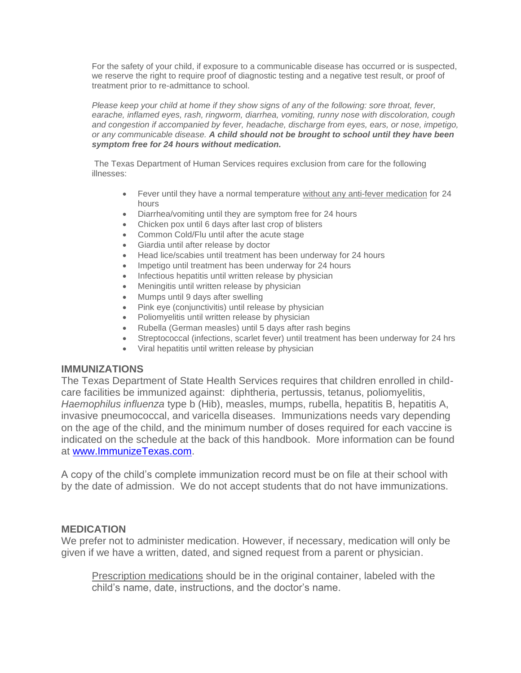For the safety of your child, if exposure to a communicable disease has occurred or is suspected, we reserve the right to require proof of diagnostic testing and a negative test result, or proof of treatment prior to re-admittance to school.

*Please keep your child at home if they show signs of any of the following: sore throat, fever, earache, inflamed eyes, rash, ringworm, diarrhea, vomiting, runny nose with discoloration, cough and congestion if accompanied by fever, headache, discharge from eyes, ears, or nose, impetigo, or any communicable disease. A child should not be brought to school until they have been symptom free for 24 hours without medication.* 

The Texas Department of Human Services requires exclusion from care for the following illnesses:

- Fever until they have a normal temperature without any anti-fever medication for 24 hours
- Diarrhea/vomiting until they are symptom free for 24 hours
- Chicken pox until 6 days after last crop of blisters
- Common Cold/Flu until after the acute stage
- Giardia until after release by doctor
- Head lice/scabies until treatment has been underway for 24 hours
- Impetigo until treatment has been underway for 24 hours
- Infectious hepatitis until written release by physician
- Meningitis until written release by physician
- Mumps until 9 days after swelling
- Pink eye (conjunctivitis) until release by physician
- Poliomyelitis until written release by physician
- Rubella (German measles) until 5 days after rash begins
- Streptococcal (infections, scarlet fever) until treatment has been underway for 24 hrs
- Viral hepatitis until written release by physician

### **IMMUNIZATIONS**

The Texas Department of State Health Services requires that children enrolled in childcare facilities be immunized against: diphtheria, pertussis, tetanus, poliomyelitis, *Haemophilus influenza* type b (Hib), measles, mumps, rubella, hepatitis B, hepatitis A, invasive pneumococcal, and varicella diseases. Immunizations needs vary depending on the age of the child, and the minimum number of doses required for each vaccine is indicated on the schedule at the back of this handbook. More information can be found at [www.ImmunizeTexas.com.](http://www.immunizetexas.com/)

A copy of the child's complete immunization record must be on file at their school with by the date of admission. We do not accept students that do not have immunizations.

### **MEDICATION**

We prefer not to administer medication. However, if necessary, medication will only be given if we have a written, dated, and signed request from a parent or physician.

Prescription medications should be in the original container, labeled with the child's name, date, instructions, and the doctor's name.